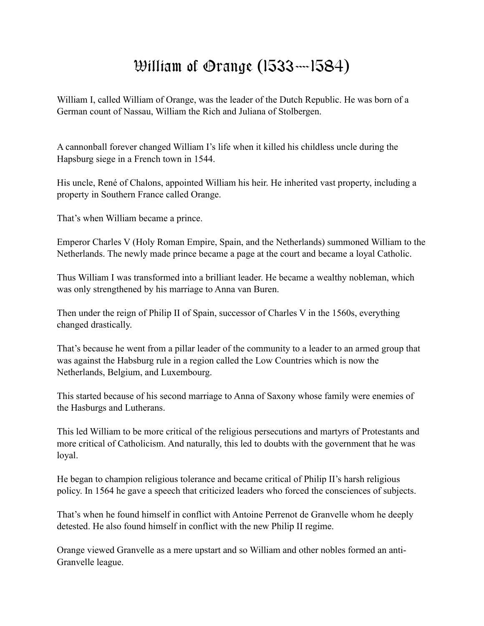## William of Orange (1533—1584)

William I, called William of Orange, was the leader of the Dutch Republic. He was born of a German count of Nassau, William the Rich and Juliana of Stolbergen.

A cannonball forever changed William I's life when it killed his childless uncle during the Hapsburg siege in a French town in 1544.

His uncle, René of Chalons, appointed William his heir. He inherited vast property, including a property in Southern France called Orange.

That's when William became a prince.

Emperor Charles V (Holy Roman Empire, Spain, and the Netherlands) summoned William to the Netherlands. The newly made prince became a page at the court and became a loyal Catholic.

Thus William I was transformed into a brilliant leader. He became a wealthy nobleman, which was only strengthened by his marriage to Anna van Buren.

Then under the reign of Philip II of Spain, successor of Charles V in the 1560s, everything changed drastically.

That's because he went from a pillar leader of the community to a leader to an armed group that was against the Habsburg rule in a region called the Low Countries which is now the Netherlands, Belgium, and Luxembourg.

This started because of his second marriage to Anna of Saxony whose family were enemies of the Hasburgs and Lutherans.

This led William to be more critical of the religious persecutions and martyrs of Protestants and more critical of Catholicism. And naturally, this led to doubts with the government that he was loyal.

He began to champion religious tolerance and became critical of Philip II's harsh religious policy. In 1564 he gave a speech that criticized leaders who forced the consciences of subjects.

That's when he found himself in conflict with Antoine Perrenot de Granvelle whom he deeply detested. He also found himself in conflict with the new Philip II regime.

Orange viewed Granvelle as a mere upstart and so William and other nobles formed an anti-Granvelle league.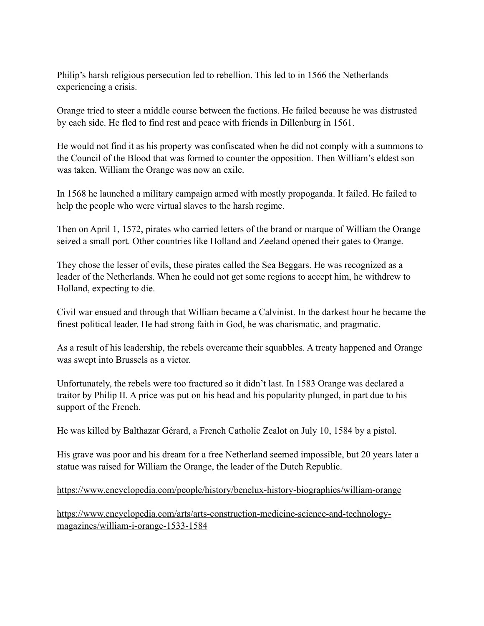Philip's harsh religious persecution led to rebellion. This led to in 1566 the Netherlands experiencing a crisis.

Orange tried to steer a middle course between the factions. He failed because he was distrusted by each side. He fled to find rest and peace with friends in Dillenburg in 1561.

He would not find it as his property was confiscated when he did not comply with a summons to the Council of the Blood that was formed to counter the opposition. Then William's eldest son was taken. William the Orange was now an exile.

In 1568 he launched a military campaign armed with mostly propoganda. It failed. He failed to help the people who were virtual slaves to the harsh regime.

Then on April 1, 1572, pirates who carried letters of the brand or marque of William the Orange seized a small port. Other countries like Holland and Zeeland opened their gates to Orange.

They chose the lesser of evils, these pirates called the Sea Beggars. He was recognized as a leader of the Netherlands. When he could not get some regions to accept him, he withdrew to Holland, expecting to die.

Civil war ensued and through that William became a Calvinist. In the darkest hour he became the finest political leader. He had strong faith in God, he was charismatic, and pragmatic.

As a result of his leadership, the rebels overcame their squabbles. A treaty happened and Orange was swept into Brussels as a victor.

Unfortunately, the rebels were too fractured so it didn't last. In 1583 Orange was declared a traitor by Philip II. A price was put on his head and his popularity plunged, in part due to his support of the French.

He was killed by Balthazar Gérard, a French Catholic Zealot on July 10, 1584 by a pistol.

His grave was poor and his dream for a free Netherland seemed impossible, but 20 years later a statue was raised for William the Orange, the leader of the Dutch Republic.

## <https://www.encyclopedia.com/people/history/benelux-history-biographies/william-orange>

[https://www.encyclopedia.com/arts/arts-construction-medicine-science-and-technology](https://www.encyclopedia.com/arts/arts-construction-medicine-science-and-technology-magazines/william-i-orange-1533-1584)[magazines/william-i-orange-1533-1584](https://www.encyclopedia.com/arts/arts-construction-medicine-science-and-technology-magazines/william-i-orange-1533-1584)